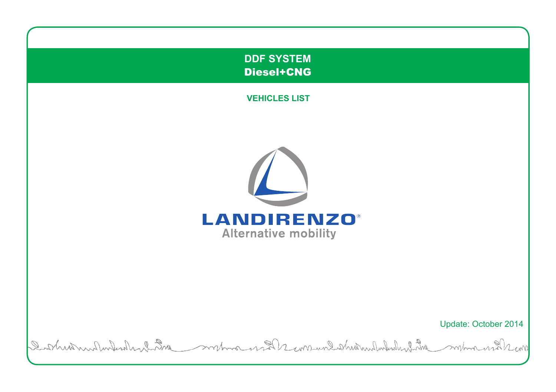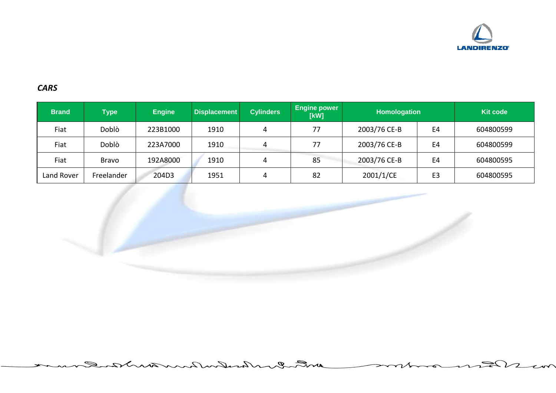

## *CARS*

| <b>Brand</b> | ${ \bf Type}$ | <b>Engine</b> | <b>Displacement</b> | <b>Cylinders</b> | <b>Engine power</b><br>[kW] | <b>Homologation</b> |                | <b>Kit code</b> |
|--------------|---------------|---------------|---------------------|------------------|-----------------------------|---------------------|----------------|-----------------|
| Fiat         | Doblò         | 223B1000      | 1910                | 4                | 77                          | 2003/76 CE-B        | E4             | 604800599       |
| Fiat         | Doblò         | 223A7000      | 1910                | 4                | 77                          | 2003/76 CE-B        | E4             | 604800599       |
| Fiat         | <b>Bravo</b>  | 192A8000      | 1910                | 4                | 85                          | 2003/76 CE-B        | E <sub>4</sub> | 604800595       |
| Land Rover   | Freelander    | 204D3         | 1951                | 4                | 82                          | 2001/1/CE           | E <sub>3</sub> | 604800595       |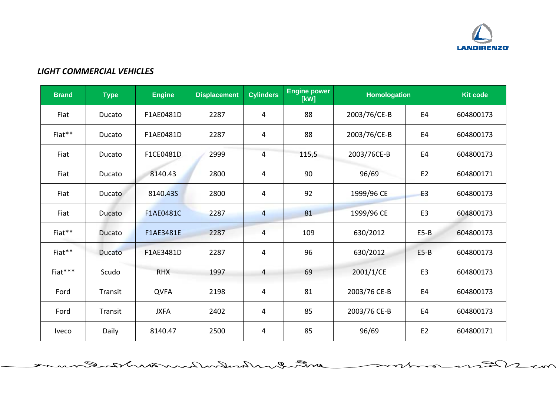

 $\approx$ 

 $\overline{\phantom{a}}$ 

 $\overline{\phantom{a}}$ 

## *LIGHT COMMERCIAL VEHICLES*

| <b>Brand</b> | <b>Type</b> | <b>Engine</b> | <b>Displacement</b> | <b>Cylinders</b> | <b>Engine power</b><br>[kW] | <b>Homologation</b> |                | <b>Kit code</b> |
|--------------|-------------|---------------|---------------------|------------------|-----------------------------|---------------------|----------------|-----------------|
| Fiat         | Ducato      | F1AE0481D     | 2287                | 4                | 88                          | 2003/76/CE-B        | E <sub>4</sub> | 604800173       |
| Fiat**       | Ducato      | F1AE0481D     | 2287                | 4                | 88                          | 2003/76/CE-B        | E <sub>4</sub> | 604800173       |
| Fiat         | Ducato      | F1CE0481D     | 2999                | 4                | 115,5                       | 2003/76CE-B         | E <sub>4</sub> | 604800173       |
| Fiat         | Ducato      | 8140.43       | 2800                | 4                | 90                          | 96/69               | E <sub>2</sub> | 604800171       |
| Fiat         | Ducato      | 8140.43S      | 2800                | 4                | 92                          | 1999/96 CE          | E <sub>3</sub> | 604800173       |
| Fiat         | Ducato      | F1AE0481C     | 2287                | 4                | 81                          | 1999/96 CE          | E <sub>3</sub> | 604800173       |
| Fiat**       | Ducato      | F1AE3481E     | 2287                | 4                | 109                         | 630/2012            | $E5-B$         | 604800173       |
| Fiat**       | Ducato      | F1AE3481D     | 2287                | 4                | 96                          | 630/2012            | $E5-B$         | 604800173       |
| Fiat***      | Scudo       | <b>RHX</b>    | 1997                | 4                | 69                          | 2001/1/CE           | E <sub>3</sub> | 604800173       |
| Ford         | Transit     | <b>QVFA</b>   | 2198                | 4                | 81                          | 2003/76 CE-B        | E <sub>4</sub> | 604800173       |
| Ford         | Transit     | <b>JXFA</b>   | 2402                | 4                | 85                          | 2003/76 CE-B        | E <sub>4</sub> | 604800173       |
| <b>Iveco</b> | Daily       | 8140.47       | 2500                | 4                | 85                          | 96/69               | E <sub>2</sub> | 604800171       |

with Inchestrulaus and a Q.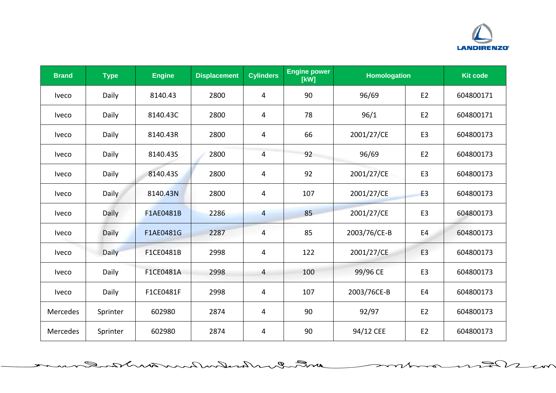

っ

 $\overline{\mathbf{z}}$ 

يدم

| <b>Brand</b> | <b>Type</b> | <b>Engine</b> | <b>Displacement</b> | <b>Cylinders</b> | <b>Engine power</b><br>[kW] | <b>Homologation</b> |                | <b>Kit code</b> |
|--------------|-------------|---------------|---------------------|------------------|-----------------------------|---------------------|----------------|-----------------|
| <b>Iveco</b> | Daily       | 8140.43       | 2800                | 4                | 90                          | 96/69               | E <sub>2</sub> | 604800171       |
| <b>Iveco</b> | Daily       | 8140.43C      | 2800                | 4                | 78                          | 96/1                | E <sub>2</sub> | 604800171       |
| <b>Iveco</b> | Daily       | 8140.43R      | 2800                | 4                | 66                          | 2001/27/CE          | E <sub>3</sub> | 604800173       |
| <b>Iveco</b> | Daily       | 8140.435      | 2800                | 4                | 92                          | 96/69               | E <sub>2</sub> | 604800173       |
| <b>Iveco</b> | Daily       | 8140.435      | 2800                | 4                | 92                          | 2001/27/CE          | E <sub>3</sub> | 604800173       |
| <b>Iveco</b> | Daily       | 8140.43N      | 2800                | 4                | 107                         | 2001/27/CE          | E3             | 604800173       |
| <b>Iveco</b> | Daily       | F1AE0481B     | 2286                | $\overline{4}$   | 85                          | 2001/27/CE          | E <sub>3</sub> | 604800173       |
| <b>Iveco</b> | Daily       | F1AE0481G     | 2287                | 4                | 85                          | 2003/76/CE-B        | E4             | 604800173       |
| <b>Iveco</b> | Daily       | F1CE0481B     | 2998                | 4                | 122                         | 2001/27/CE          | E <sub>3</sub> | 604800173       |
| <b>Iveco</b> | Daily       | F1CE0481A     | 2998                | 4                | 100                         | 99/96 CE            | E <sub>3</sub> | 604800173       |
| <b>Iveco</b> | Daily       | F1CE0481F     | 2998                | 4                | 107                         | 2003/76CE-B         | E <sub>4</sub> | 604800173       |
| Mercedes     | Sprinter    | 602980        | 2874                | $\overline{4}$   | 90                          | 92/97               | E <sub>2</sub> | 604800173       |
| Mercedes     | Sprinter    | 602980        | 2874                | 4                | 90                          | 94/12 CEE           | E <sub>2</sub> | 604800173       |

ant I maked martin and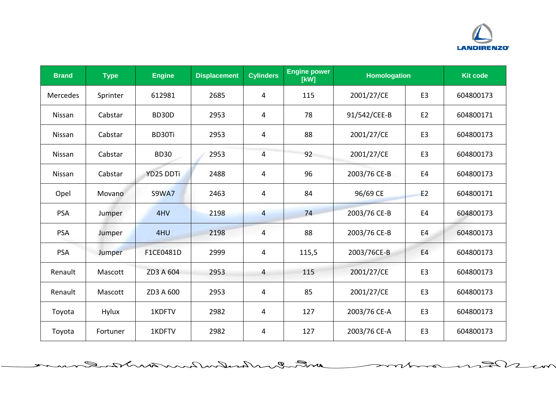

っ

 $\overline{\mathbf{z}}$ 

يدم

| <b>Brand</b>    | <b>Type</b>  | <b>Engine</b> | <b>Displacement</b> | <b>Cylinders</b> | <b>Engine power</b><br>[kW] | <b>Homologation</b> |                | <b>Kit code</b> |
|-----------------|--------------|---------------|---------------------|------------------|-----------------------------|---------------------|----------------|-----------------|
| <b>Mercedes</b> | Sprinter     | 612981        | 2685                | 4                | 115                         | 2001/27/CE          | E <sub>3</sub> | 604800173       |
| Nissan          | Cabstar      | BD30D         | 2953                | 4                | 78                          | 91/542/CEE-B        | E <sub>2</sub> | 604800171       |
| Nissan          | Cabstar      | BD30Ti        | 2953                | 4                | 88                          | 2001/27/CE          | E <sub>3</sub> | 604800173       |
| Nissan          | Cabstar      | <b>BD30</b>   | 2953                | 4                | 92                          | 2001/27/CE          | E <sub>3</sub> | 604800173       |
| Nissan          | Cabstar      | YD25 DDTi     | 2488                | 4                | 96                          | 2003/76 CE-B        | E4             | 604800173       |
| Opel            | Movano       | <b>S9WA7</b>  | 2463                | 4                | 84                          | 96/69 CE            | E <sub>2</sub> | 604800171       |
| <b>PSA</b>      | Jumper       | 4HV           | 2198                | 4                | 74                          | 2003/76 CE-B        | E <sub>4</sub> | 604800173       |
| <b>PSA</b>      | Jumper       | 4HU           | 2198                | 4                | 88                          | 2003/76 CE-B        | E <sub>4</sub> | 604800173       |
| <b>PSA</b>      | Jumper       | F1CE0481D     | 2999                | 4                | 115,5                       | 2003/76CE-B         | E <sub>4</sub> | 604800173       |
| Renault         | Mascott      | ZD3 A 604     | 2953                | 4                | 115                         | 2001/27/CE          | E <sub>3</sub> | 604800173       |
| Renault         | Mascott      | ZD3 A 600     | 2953                | 4                | 85                          | 2001/27/CE          | E <sub>3</sub> | 604800173       |
| Toyota          | <b>Hylux</b> | 1KDFTV        | 2982                | 4                | 127                         | 2003/76 CE-A        | E <sub>3</sub> | 604800173       |
| Toyota          | Fortuner     | 1KDFTV        | 2982                | 4                | 127                         | 2003/76 CE-A        | E <sub>3</sub> | 604800173       |

ant I maked martin and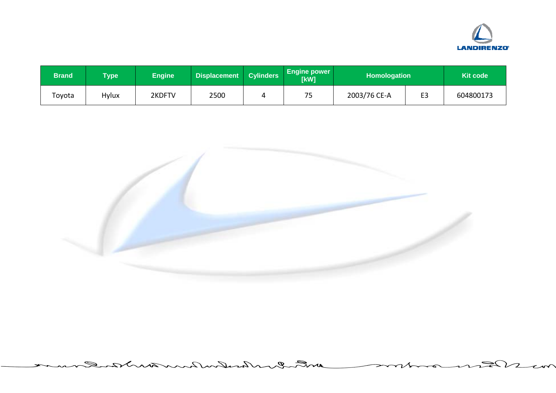

| <b>Brand</b> | <b>Type</b> | <b>Engine</b> | Displacement Cylinders | <b>Engine power</b><br>[kW] | <b>Homologation</b> |                | <b>Kit code</b> |
|--------------|-------------|---------------|------------------------|-----------------------------|---------------------|----------------|-----------------|
| Toyota       | Hylux       | 2KDFTV        | 2500                   | ᆕ<br>ر .                    | 2003/76 CE-A        | E <sub>3</sub> | 604800173       |

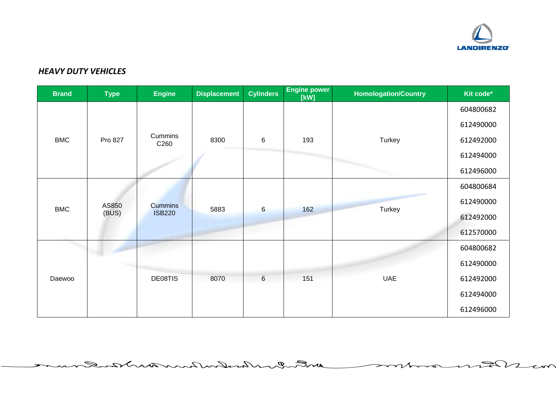

 $\approx$ 

 $\overline{\phantom{a}}$ 

رىم

## *HEAVY DUTY VEHICLES*

Q.

| <b>Brand</b> | <b>Type</b> | <b>Engine</b>               | <b>Displacement</b> | <b>Cylinders</b> | <b>Engine power</b><br>[kW] | <b>Homologation/Country</b> | Kit code* |
|--------------|-------------|-----------------------------|---------------------|------------------|-----------------------------|-----------------------------|-----------|
|              |             |                             |                     |                  |                             |                             | 604800682 |
|              |             |                             |                     |                  |                             |                             | 612490000 |
| <b>BMC</b>   | Pro 827     | Cummins<br>C <sub>260</sub> | 8300                | $\,6$            | 193                         | Turkey                      | 612492000 |
|              |             |                             |                     |                  |                             |                             | 612494000 |
|              |             |                             |                     |                  |                             |                             | 612496000 |
|              |             |                             |                     |                  |                             |                             | 604800684 |
| <b>BMC</b>   | AS850       | <b>Cummins</b>              | 5883                | $6\phantom{a}$   | 162                         | Turkey                      | 612490000 |
|              | (BUS)       | <b>ISB220</b>               |                     |                  |                             |                             | 612492000 |
|              |             |                             |                     |                  |                             |                             | 612570000 |
|              |             |                             |                     |                  |                             |                             | 604800682 |
|              |             |                             |                     |                  |                             |                             | 612490000 |
| Daewoo       |             | DE08TIS                     | 8070                | $6\phantom{1}$   | 151                         | <b>UAE</b>                  | 612492000 |
|              |             |                             |                     |                  | 612494000                   |                             |           |
|              |             |                             |                     |                  |                             |                             | 612496000 |

with Inchester Runtwirks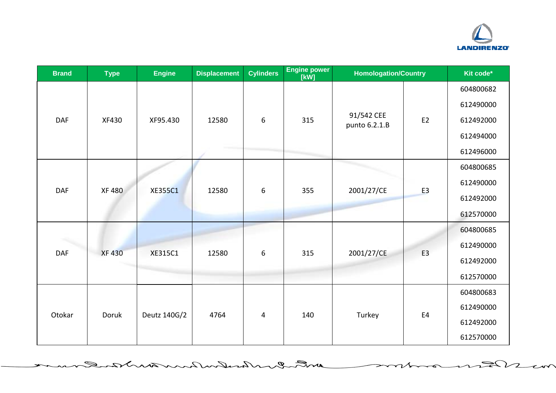

っ

 $\overline{\mathbf{z}}$ 

يدح

| <b>Brand</b> | <b>Type</b>  | <b>Engine</b>  | <b>Displacement</b> | <b>Cylinders</b> | <b>Engine power</b><br>[kW] | <b>Homologation/Country</b> |                                                          | Kit code* |
|--------------|--------------|----------------|---------------------|------------------|-----------------------------|-----------------------------|----------------------------------------------------------|-----------|
|              |              |                |                     |                  |                             |                             |                                                          | 604800682 |
|              |              |                |                     |                  |                             |                             | E <sub>2</sub><br>E <sub>3</sub><br>E <sub>3</sub><br>E4 | 612490000 |
| <b>DAF</b>   | XF430        | XF95.430       | 12580               | 6                | 315                         | 91/542 CEE<br>punto 6.2.1.B |                                                          | 612492000 |
|              |              |                |                     |                  |                             |                             |                                                          | 612494000 |
|              |              |                |                     |                  |                             |                             |                                                          | 612496000 |
|              |              |                |                     |                  |                             |                             |                                                          | 604800685 |
| <b>DAF</b>   | <b>XF480</b> | <b>XE355C1</b> | 12580               | 6                | 355                         |                             |                                                          | 612490000 |
|              |              |                |                     |                  |                             | 2001/27/CE                  |                                                          | 612492000 |
|              |              |                |                     |                  |                             |                             |                                                          | 612570000 |
|              |              |                |                     |                  |                             |                             |                                                          | 604800685 |
| <b>DAF</b>   | <b>XF430</b> |                | 12580               | 6                | 315                         |                             |                                                          | 612490000 |
|              |              | XE315C1        |                     |                  |                             | 2001/27/CE                  |                                                          | 612492000 |
|              |              |                |                     |                  |                             |                             |                                                          | 612570000 |
|              |              |                |                     |                  |                             |                             |                                                          | 604800683 |
| Otokar       | Doruk        |                | 4764                | 4                | 140                         | Turkey                      |                                                          | 612490000 |
|              |              | Deutz 140G/2   |                     |                  |                             |                             |                                                          | 612492000 |
|              |              |                |                     |                  |                             |                             |                                                          | 612570000 |

entre en husburken mintere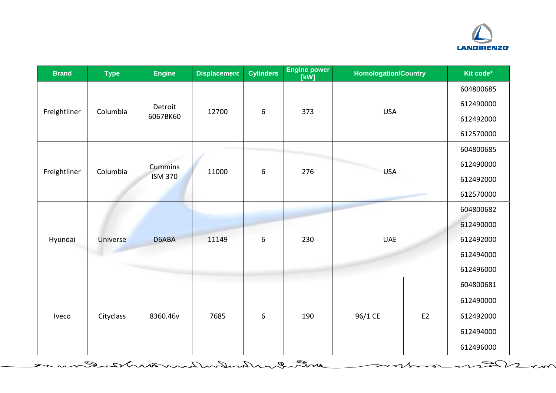

 $\overline{\phantom{a}}$ 

يدح

| <b>Brand</b> | <b>Type</b> | <b>Engine</b>  | <b>Displacement</b> | <b>Cylinders</b> | <b>Engine power</b><br>[kW] | <b>Homologation/Country</b> |                | Kit code* |
|--------------|-------------|----------------|---------------------|------------------|-----------------------------|-----------------------------|----------------|-----------|
|              |             |                |                     |                  |                             |                             |                | 604800685 |
| Freightliner | Columbia    | Detroit        | 12700               | $\boldsymbol{6}$ | 373                         | <b>USA</b>                  |                | 612490000 |
|              |             | 6067BK60       |                     |                  |                             |                             |                |           |
|              |             |                |                     |                  |                             |                             |                | 612570000 |
|              |             |                |                     |                  |                             | <b>USA</b>                  |                | 604800685 |
|              | Columbia    | <b>Cummins</b> | 11000               | 6                | 276                         |                             |                | 612490000 |
| Freightliner |             | <b>ISM 370</b> |                     |                  |                             |                             |                | 612492000 |
|              |             |                |                     |                  |                             |                             |                | 612570000 |
|              |             |                |                     |                  |                             |                             |                | 604800682 |
|              |             |                |                     |                  |                             |                             |                | 612490000 |
| Hyundai      | Universe    | D6ABA          | 11149               | 6                | 230                         | <b>UAE</b>                  |                | 612492000 |
|              |             |                |                     |                  |                             |                             |                | 612494000 |
|              |             |                |                     |                  |                             |                             |                | 612496000 |
|              |             |                |                     |                  |                             |                             |                | 604800681 |
|              |             |                |                     |                  |                             |                             |                | 612490000 |
| Iveco        | Cityclass   | 8360.46v       | 7685                | 6                | 190                         | 96/1 CE                     | E <sub>2</sub> | 612492000 |
|              |             |                |                     |                  |                             |                             |                | 612494000 |
|              |             |                |                     |                  |                             |                             |                | 612496000 |

Ranshine militar menderal mandan de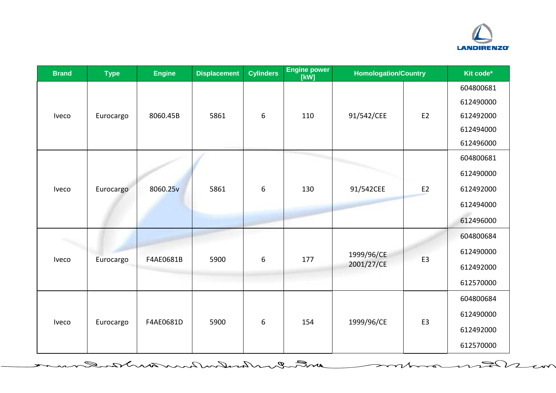

 $\Omega$ 

 $\tau \sim$ 

 $\sim$ 

| <b>Brand</b> | <b>Type</b> | <b>Engine</b> | <b>Displacement</b> | <b>Cylinders</b> | <b>Engine power</b><br>[kW] | <b>Homologation/Country</b> |                | Kit code* |
|--------------|-------------|---------------|---------------------|------------------|-----------------------------|-----------------------------|----------------|-----------|
|              |             |               |                     |                  |                             |                             |                | 604800681 |
|              |             |               |                     |                  |                             |                             |                | 612490000 |
| Iveco        | Eurocargo   | 8060.45B      | 5861                | 6                | 110                         | 91/542/CEE                  | E <sub>2</sub> | 612492000 |
|              |             |               |                     |                  |                             |                             |                | 612494000 |
|              |             |               |                     |                  |                             |                             |                | 612496000 |
|              |             |               |                     |                  |                             |                             |                | 604800681 |
|              |             |               |                     |                  |                             |                             |                | 612490000 |
| Iveco        | Eurocargo   | 8060.25v      | 5861                | 6                | 130                         | 91/542CEE                   | E <sub>2</sub> | 612492000 |
|              |             |               |                     |                  |                             |                             |                | 612494000 |
|              |             |               |                     |                  |                             |                             |                | 612496000 |
|              |             |               |                     |                  |                             |                             |                | 604800684 |
|              |             |               |                     |                  |                             | 1999/96/CE                  | E <sub>3</sub> | 612490000 |
| Iveco        | Eurocargo   | F4AE0681B     | 5900                | 6                | 177                         | 2001/27/CE                  |                | 612492000 |
|              |             |               |                     |                  |                             |                             |                | 612570000 |
|              |             |               |                     |                  |                             |                             |                | 604800684 |
| Iveco        |             |               |                     |                  |                             |                             |                | 612490000 |
|              | Eurocargo   | F4AE0681D     | 5900                | 6                | 154                         | 1999/96/CE                  | E <sub>3</sub> | 612492000 |
|              |             |               |                     |                  |                             |                             |                | 612570000 |

a mot en husburkwarden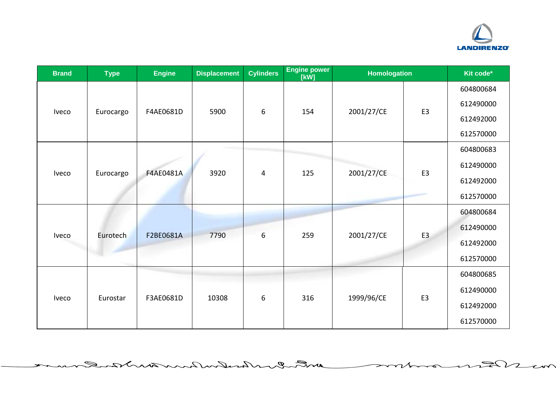

⊃

っ

 $\overline{\phantom{a}}$ 

| <b>Brand</b> | <b>Type</b> | <b>Engine</b>    | <b>Displacement</b>                          | <b>Cylinders</b> | <b>Engine power</b><br>[kW] | <b>Homologation</b> |                | Kit code* |
|--------------|-------------|------------------|----------------------------------------------|------------------|-----------------------------|---------------------|----------------|-----------|
|              |             |                  |                                              |                  |                             |                     |                | 604800684 |
| <b>Iveco</b> | Eurocargo   | F4AE0681D        | 5900                                         | 6                | 154                         | 2001/27/CE          | E <sub>3</sub> | 612490000 |
|              |             |                  |                                              |                  |                             |                     |                | 612492000 |
|              |             |                  |                                              |                  |                             |                     |                | 612570000 |
|              |             |                  |                                              |                  |                             |                     |                | 604800683 |
|              |             |                  | 3920                                         |                  | 125                         |                     |                | 612490000 |
| Iveco        | Eurocargo   | <b>F4AE0481A</b> |                                              | 4                |                             | 2001/27/CE          | E <sub>3</sub> | 612492000 |
|              |             |                  |                                              |                  |                             |                     |                | 612570000 |
|              |             |                  |                                              |                  |                             |                     |                | 604800684 |
|              |             |                  |                                              |                  |                             |                     | E <sub>3</sub> | 612490000 |
| Iveco        | Eurotech    | F2BE0681A        | 7790                                         | 6                | 259                         | 2001/27/CE          |                | 612492000 |
|              |             |                  |                                              |                  |                             |                     |                | 612570000 |
|              |             |                  |                                              |                  |                             |                     |                | 604800685 |
| Iveco        |             |                  |                                              |                  |                             |                     |                | 612490000 |
|              | Eurostar    |                  | 316<br>1999/96/CE<br>F3AE0681D<br>10308<br>6 |                  | E <sub>3</sub>              | 612492000           |                |           |
|              |             |                  |                                              |                  |                             |                     |                | 612570000 |

mt en husburkmenten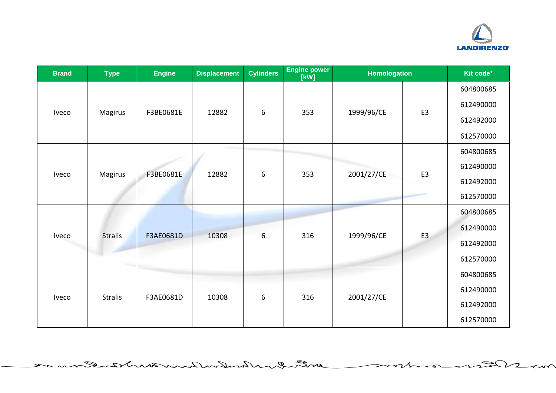

 $\overline{\phantom{a}}$ 

| <b>Brand</b> | <b>Type</b>    | <b>Engine</b> | <b>Displacement</b> | <b>Cylinders</b> | <b>Engine power</b><br>[kW] | <b>Homologation</b> |                | Kit code* |
|--------------|----------------|---------------|---------------------|------------------|-----------------------------|---------------------|----------------|-----------|
|              |                |               |                     |                  |                             |                     |                | 604800685 |
| Iveco        |                | F3BE0681E     | 12882               | 6                | 353                         | 1999/96/CE          | E <sub>3</sub> | 612490000 |
|              | Magirus        |               |                     |                  |                             |                     |                | 612492000 |
|              |                |               |                     |                  |                             |                     |                | 612570000 |
|              |                |               |                     |                  |                             |                     |                | 604800685 |
| <b>Iveco</b> | Magirus        | F3BE0681E     | 12882               | 6                | 353                         | 2001/27/CE          |                | 612490000 |
|              |                |               |                     |                  |                             |                     | E <sub>3</sub> | 612492000 |
|              |                |               |                     |                  |                             |                     |                | 612570000 |
|              |                |               |                     |                  |                             |                     |                | 604800685 |
| Iveco        | <b>Stralis</b> | F3AE0681D     | 10308               | 6                | 316                         | 1999/96/CE          | E <sub>3</sub> | 612490000 |
|              |                |               |                     |                  |                             |                     |                | 612492000 |
|              |                |               |                     |                  |                             |                     |                | 612570000 |
|              |                |               |                     |                  |                             |                     |                | 604800685 |
| Iveco        | <b>Stralis</b> | F3AE0681D     | 10308               | 6                | 316                         | 2001/27/CE          |                | 612490000 |
|              |                |               |                     |                  |                             | 612492000           |                |           |
|              |                |               |                     |                  |                             |                     |                | 612570000 |

ant enhanders huntwirked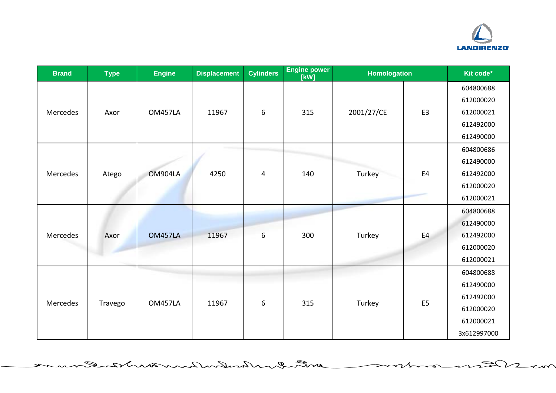

 $\Rightarrow$ 

っ

 $\overline{\phantom{a}}$ 

| <b>Brand</b> | <b>Type</b> | <b>Engine</b>  | <b>Displacement</b> | <b>Cylinders</b> | <b>Engine power</b><br>[kW] | <b>Homologation</b> |                | Kit code*   |
|--------------|-------------|----------------|---------------------|------------------|-----------------------------|---------------------|----------------|-------------|
|              |             |                |                     |                  |                             |                     |                | 604800688   |
|              |             |                |                     |                  |                             |                     |                | 612000020   |
| Mercedes     | Axor        | <b>OM457LA</b> | 11967               | 6                | 315                         | 2001/27/CE          | E <sub>3</sub> | 612000021   |
|              |             |                |                     |                  |                             |                     |                | 612492000   |
|              |             |                |                     |                  |                             |                     |                | 612490000   |
|              |             |                |                     |                  |                             |                     |                | 604800686   |
|              |             |                |                     |                  |                             |                     |                | 612490000   |
| Mercedes     | Atego       | OM904LA        | 4250                | 4                | 140                         | Turkey              | E <sub>4</sub> | 612492000   |
|              |             |                |                     |                  |                             |                     |                | 612000020   |
|              |             |                |                     |                  |                             |                     |                | 612000021   |
|              |             |                |                     |                  |                             |                     |                | 604800688   |
|              |             |                |                     |                  |                             |                     |                | 612490000   |
| Mercedes     | Axor        | <b>OM457LA</b> | 11967               | 6                | 300                         | Turkey              | E4             | 612492000   |
|              |             |                |                     |                  |                             |                     |                | 612000020   |
|              |             |                |                     |                  |                             |                     |                | 612000021   |
|              |             |                |                     |                  |                             |                     |                | 604800688   |
|              |             |                |                     |                  |                             |                     |                | 612490000   |
|              |             | <b>OM457LA</b> | 11967               | 6                | 315                         |                     | E <sub>5</sub> | 612492000   |
| Mercedes     | Travego     |                |                     |                  |                             | Turkey              |                | 612000020   |
|              |             |                |                     |                  |                             |                     |                | 612000021   |
|              |             |                |                     |                  |                             |                     |                | 3x612997000 |

mt en husburkwanten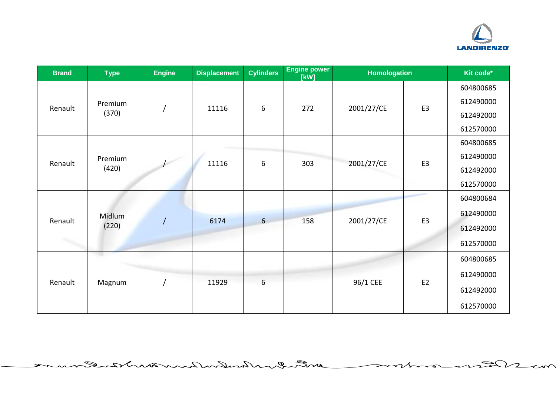

 $\overline{\phantom{a}}$ 

⇒

っ

| <b>Brand</b> | <b>Type</b>      | <b>Engine</b> | <b>Displacement</b> | <b>Cylinders</b> | <b>Engine power</b><br>[kW] | <b>Homologation</b> |                | Kit code* |
|--------------|------------------|---------------|---------------------|------------------|-----------------------------|---------------------|----------------|-----------|
|              |                  |               |                     |                  |                             |                     |                | 604800685 |
| Renault      | Premium<br>(370) |               | 11116               | 6                | 272                         | 2001/27/CE          | E <sub>3</sub> | 612490000 |
|              |                  |               |                     |                  |                             |                     |                | 612492000 |
|              |                  |               |                     |                  |                             |                     |                | 612570000 |
|              |                  |               |                     |                  |                             |                     |                | 604800685 |
| Renault      | Premium<br>(420) |               | 11116               | 6                | 303                         | 2001/27/CE          | E <sub>3</sub> | 612490000 |
|              |                  |               |                     |                  |                             |                     |                | 612492000 |
|              |                  |               |                     |                  |                             |                     |                | 612570000 |
|              |                  |               |                     |                  |                             |                     |                | 604800684 |
| Renault      | Midlum<br>(220)  |               | 6174                | $6 \overline{6}$ | 158                         | 2001/27/CE          | E <sub>3</sub> | 612490000 |
|              |                  |               |                     |                  |                             |                     |                | 612492000 |
|              |                  |               |                     |                  |                             |                     |                | 612570000 |
|              |                  |               |                     |                  |                             |                     |                | 604800685 |
| Renault      | Magnum           |               | 11929               | 6                |                             | 96/1 CEE            | E <sub>2</sub> | 612490000 |
|              |                  |               |                     |                  |                             |                     |                | 612492000 |
|              |                  |               |                     |                  |                             |                     |                | 612570000 |

entre enters husband and rand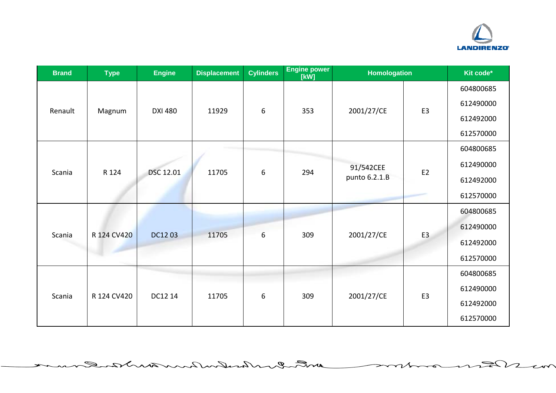

⇒

 $\overline{\phantom{a}}$ 

 $\overline{\phantom{a}}$ 

| <b>Brand</b> | <b>Type</b> | <b>Engine</b>  | <b>Displacement</b> | <b>Cylinders</b> | <b>Engine power</b><br>[kW] | <b>Homologation</b>        |                | Kit code* |
|--------------|-------------|----------------|---------------------|------------------|-----------------------------|----------------------------|----------------|-----------|
| Renault      | Magnum      | <b>DXI 480</b> | 11929               | $\boldsymbol{6}$ | 353                         | 2001/27/CE                 | E <sub>3</sub> | 604800685 |
|              |             |                |                     |                  |                             |                            |                | 612490000 |
|              |             |                |                     |                  |                             |                            |                | 612492000 |
|              |             |                |                     |                  |                             |                            |                | 612570000 |
|              |             | DSC 12.01      | 11705               | 6                |                             | 91/542CEE<br>punto 6.2.1.B | E <sub>2</sub> | 604800685 |
| Scania       | R 124       |                |                     |                  | 294                         |                            |                | 612490000 |
|              |             |                |                     |                  |                             |                            |                | 612492000 |
|              |             |                |                     |                  |                             |                            |                | 612570000 |
| Scania       | R 124 CV420 | DC12 03        | 11705               |                  | 309<br>2001/27/CE           |                            | 604800685      |           |
|              |             |                |                     | 6                |                             |                            | E <sub>3</sub> | 612490000 |
|              |             |                |                     |                  |                             |                            |                | 612492000 |
|              |             |                |                     |                  |                             |                            |                | 612570000 |
| Scania       | R 124 CV420 | DC12 14        | 11705               | 6                | 309                         | 2001/27/CE                 | E <sub>3</sub> | 604800685 |
|              |             |                |                     |                  |                             |                            |                | 612490000 |
|              |             |                |                     |                  |                             |                            |                | 612492000 |
|              |             |                |                     |                  |                             |                            |                | 612570000 |

mt en halandwarm minden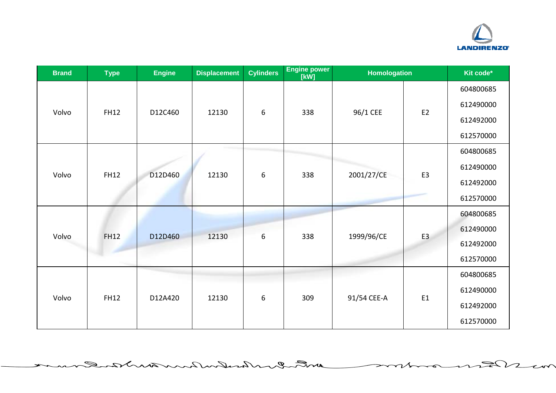

 $R\nu$ 

っ

 $\overline{\phantom{a}}$ 

| <b>Brand</b> | <b>Type</b> | <b>Engine</b> | <b>Displacement</b> | <b>Cylinders</b> | <b>Engine power</b><br>[kW] | <b>Homologation</b> |                | Kit code* |
|--------------|-------------|---------------|---------------------|------------------|-----------------------------|---------------------|----------------|-----------|
| Volvo        | <b>FH12</b> | D12C460       | 12130               | 6                | 338                         | 96/1 CEE            | E <sub>2</sub> | 604800685 |
|              |             |               |                     |                  |                             |                     |                | 612490000 |
|              |             |               |                     |                  |                             |                     |                | 612492000 |
|              |             |               |                     |                  |                             |                     |                | 612570000 |
|              |             | D12D460       | 12130               | 6                | 338                         | 2001/27/CE          | E <sub>3</sub> | 604800685 |
| Volvo        | <b>FH12</b> |               |                     |                  |                             |                     |                | 612490000 |
|              |             |               |                     |                  |                             |                     |                | 612492000 |
|              |             |               |                     |                  |                             |                     |                | 612570000 |
|              | <b>FH12</b> | D12D460       | 12130               | 6                | 338                         | 1999/96/CE          | E <sub>3</sub> | 604800685 |
| Volvo        |             |               |                     |                  |                             |                     |                | 612490000 |
|              |             |               |                     |                  |                             |                     |                | 612492000 |
|              |             |               |                     |                  |                             |                     |                | 612570000 |
| Volvo        | <b>FH12</b> | D12A420       | 12130               | 6                | 309                         | 91/54 CEE-A         | E1             | 604800685 |
|              |             |               |                     |                  |                             |                     |                | 612490000 |
|              |             |               |                     |                  |                             |                     |                | 612492000 |
|              |             |               |                     |                  |                             |                     |                | 612570000 |

with Inchenhaulture

 $\mathscr{D}_{-}$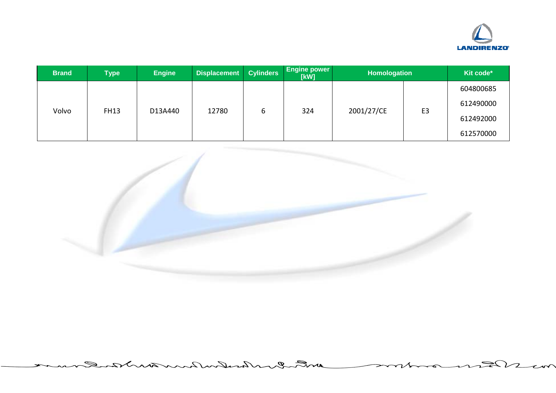

| <b>Brand</b> | <b>Type</b> | <b>Engine</b> | <b>Displacement</b> | <b>Cylinders</b> | <b>Engine power</b><br>[kW] | Homologation |                | Kit code* |
|--------------|-------------|---------------|---------------------|------------------|-----------------------------|--------------|----------------|-----------|
| Volvo        | <b>FH13</b> | D13A440       | 12780               | ь                | 324                         | 2001/27/CE   | E <sub>3</sub> | 604800685 |
|              |             |               |                     |                  |                             |              |                | 612490000 |
|              |             |               |                     |                  |                             |              |                | 612492000 |
|              |             |               |                     |                  |                             |              |                | 612570000 |